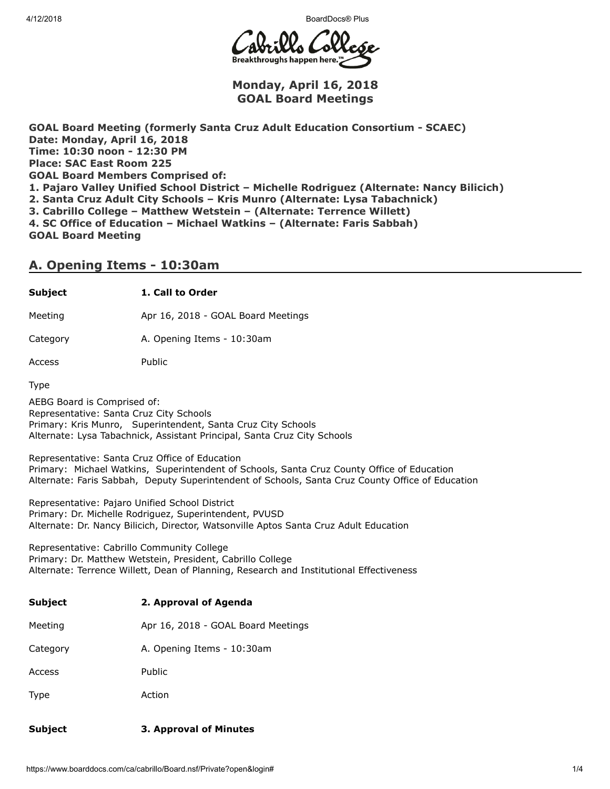4/12/2018 BoardDocs® Plus



Monday, April 16, 2018 GOAL Board Meetings

GOAL Board Meeting (formerly Santa Cruz Adult Education Consortium - SCAEC) Date: Monday, April 16, 2018 Time: 10:30 noon - 12:30 PM Place: SAC East Room 225 GOAL Board Members Comprised of: 1. Pajaro Valley Unified School District – Michelle Rodriguez (Alternate: Nancy Bilicich) 2. Santa Cruz Adult City Schools – Kris Munro (Alternate: Lysa Tabachnick) 3. Cabrillo College – Matthew Wetstein – (Alternate: Terrence Willett) 4. SC Office of Education – Michael Watkins – (Alternate: Faris Sabbah) GOAL Board Meeting

### A. Opening Items - 10:30am

### Subject 1. Call to Order

Meeting **Apr 16, 2018 - GOAL Board Meetings** 

Category **A. Opening Items - 10:30am** 

Access Public

Type

AEBG Board is Comprised of: Representative: Santa Cruz City Schools Primary: Kris Munro, Superintendent, Santa Cruz City Schools Alternate: Lysa Tabachnick, Assistant Principal, Santa Cruz City Schools

Representative: Santa Cruz Office of Education Primary: Michael Watkins, Superintendent of Schools, Santa Cruz County Office of Education Alternate: Faris Sabbah, Deputy Superintendent of Schools, Santa Cruz County Office of Education

Representative: Pajaro Unified School District Primary: Dr. Michelle Rodriguez, Superintendent, PVUSD Alternate: Dr. Nancy Bilicich, Director, Watsonville Aptos Santa Cruz Adult Education

Representative: Cabrillo Community College Primary: Dr. Matthew Wetstein, President, Cabrillo College Alternate: Terrence Willett, Dean of Planning, Research and Institutional Effectiveness

| <b>Subject</b> | 2. Approval of Agenda              |
|----------------|------------------------------------|
| Meeting        | Apr 16, 2018 - GOAL Board Meetings |
| Category       | A. Opening Items - 10:30am         |
| Access         | <b>Public</b>                      |
| <b>Type</b>    | Action                             |
| <b>Subject</b> | 3. Approval of Minutes             |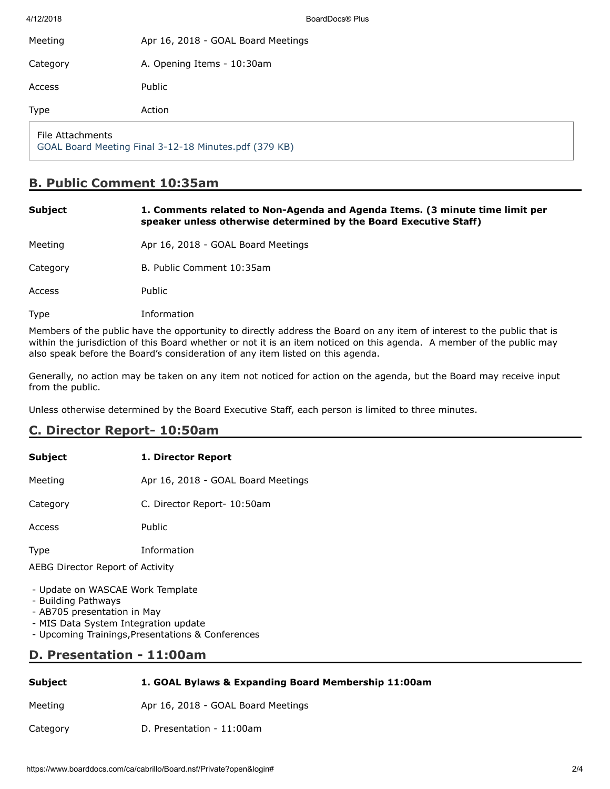| 4/12/2018        | BoardDocs® Plus                                       |
|------------------|-------------------------------------------------------|
| Meeting          | Apr 16, 2018 - GOAL Board Meetings                    |
| Category         | A. Opening Items - 10:30am                            |
| Access           | Public                                                |
| Type             | Action                                                |
| File Attachments | GOAL Board Meeting Final 3-12-18 Minutes.pdf (379 KB) |

# B. Public Comment 10:35am

| <b>Subject</b> | 1. Comments related to Non-Agenda and Agenda Items. (3 minute time limit per<br>speaker unless otherwise determined by the Board Executive Staff) |
|----------------|---------------------------------------------------------------------------------------------------------------------------------------------------|
| Meeting        | Apr 16, 2018 - GOAL Board Meetings                                                                                                                |
| Category       | B. Public Comment 10:35am                                                                                                                         |
| Access         | Public                                                                                                                                            |
| <b>Type</b>    | Information                                                                                                                                       |
|                | Members of the public have the opportunity to directly address the Board on any item of interest to the public that is                            |

within the jurisdiction of this Board whether or not it is an item noticed on this agenda. A member of the public may also speak before the Board's consideration of any item listed on this agenda.

Generally, no action may be taken on any item not noticed for action on the agenda, but the Board may receive input from the public.

Unless otherwise determined by the Board Executive Staff, each person is limited to three minutes.

# C. Director Report- 10:50am

| Subject | 1. Director Report |
|---------|--------------------|
|---------|--------------------|

Meeting **Apr 16, 2018 - GOAL Board Meetings** 

Category C. Director Report- 10:50am

Access Public

Type Information

AEBG Director Report of Activity

- Update on WASCAE Work Template
- Building Pathways
- AB705 presentation in May
- MIS Data System Integration update
- Upcoming Trainings,Presentations & Conferences

# D. Presentation - 11:00am

### Subject 1. GOAL Bylaws & Expanding Board Membership 11:00am

Meeting **Apr 16, 2018 - GOAL Board Meetings** 

Category D. Presentation - 11:00am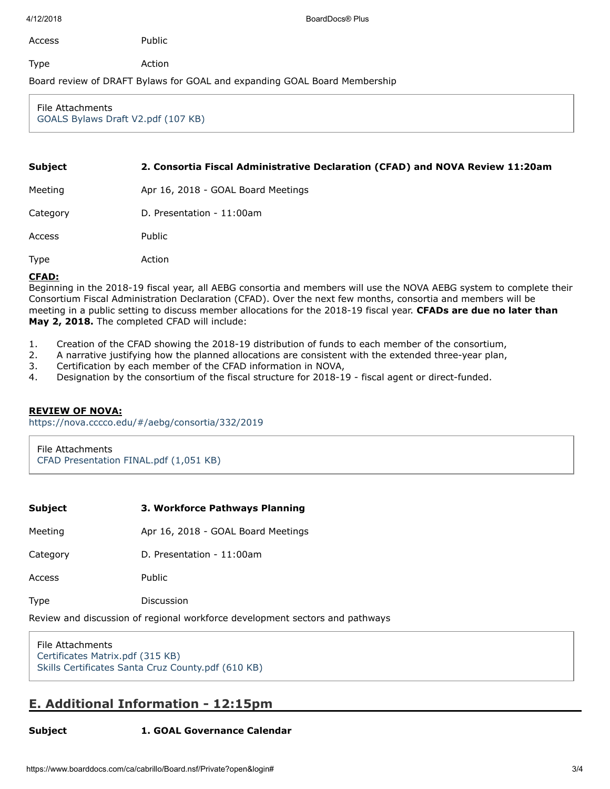Type **Action** 

Board review of DRAFT Bylaws for GOAL and expanding GOAL Board Membership

File Attachments [GOALS Bylaws Draft V2.pdf \(107 KB\)](https://www.boarddocs.com/ca/cabrillo/Board.nsf/files/AXS4K574C8DF/$file/GOALS%20Bylaws%20Draft%20V2.pdf)

| Subject | 2. Consortia Fiscal Administrative Declaration (CFAD) and NOVA Review 11:20am |  |  |  |
|---------|-------------------------------------------------------------------------------|--|--|--|
|         |                                                                               |  |  |  |

Meeting **Apr 16, 2018 - GOAL Board Meetings** 

Category D. Presentation - 11:00am

Public

Access Public

Type Action

#### CFAD:

Beginning in the 2018-19 fiscal year, all AEBG consortia and members will use the NOVA AEBG system to complete their Consortium Fiscal Administration Declaration (CFAD). Over the next few months, consortia and members will be meeting in a public setting to discuss member allocations for the 2018-19 fiscal year. CFADs are due no later than May 2, 2018. The completed CFAD will include:

- 1. Creation of the CFAD showing the 2018-19 distribution of funds to each member of the consortium,
- 2. A narrative justifying how the planned allocations are consistent with the extended three-year plan,
- 3. Certification by each member of the CFAD information in NOVA,
- 4. Designation by the consortium of the fiscal structure for 2018-19 fiscal agent or direct-funded.

### REVIEW OF NOVA:

<https://nova.cccco.edu/#/aebg/consortia/332/2019>

File Attachments [CFAD Presentation FINAL.pdf \(1,051 KB\)](https://www.boarddocs.com/ca/cabrillo/Board.nsf/files/AXS6BW7E1F24/$file/CFAD%20Presentation%20FINAL.pdf)

| Subject |  | 3. Workforce Pathways Planning |  |  |
|---------|--|--------------------------------|--|--|
|---------|--|--------------------------------|--|--|

Meeting **Apr 16, 2018 - GOAL Board Meetings** 

Category D. Presentation - 11:00am

Access Public

Type Discussion

Review and discussion of regional workforce development sectors and pathways

File Attachments [Certificates Matrix.pdf \(315 KB\)](https://www.boarddocs.com/ca/cabrillo/Board.nsf/files/AXS69U7D2A0B/$file/Certificates%20Matrix.pdf) [Skills Certificates Santa Cruz County.pdf \(610 KB\)](https://www.boarddocs.com/ca/cabrillo/Board.nsf/files/AXS69W7D2B91/$file/Skills%20Certificates%20Santa%20Cruz%20County.pdf)

# E. Additional Information - 12:15pm

#### Subject 1. GOAL Governance Calendar